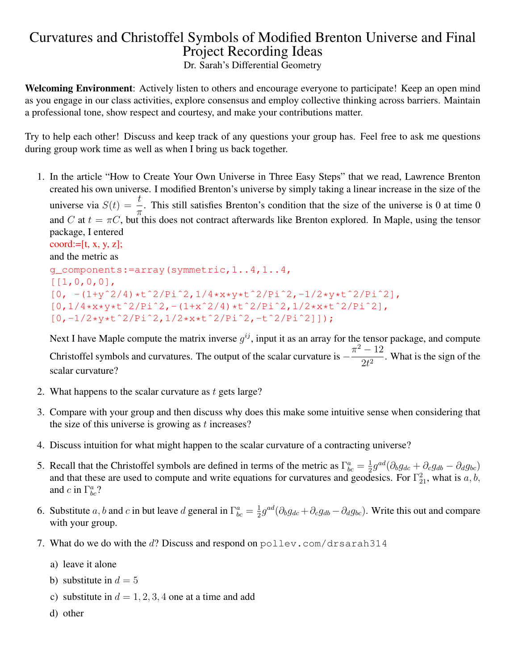## Curvatures and Christoffel Symbols of Modified Brenton Universe and Final Project Recording Ideas

Dr. Sarah's Differential Geometry

Welcoming Environment: Actively listen to others and encourage everyone to participate! Keep an open mind as you engage in our class activities, explore consensus and employ collective thinking across barriers. Maintain a professional tone, show respect and courtesy, and make your contributions matter.

Try to help each other! Discuss and keep track of any questions your group has. Feel free to ask me questions during group work time as well as when I bring us back together.

1. In the article "How to Create Your Own Universe in Three Easy Steps" that we read, Lawrence Brenton created his own universe. I modified Brenton's universe by simply taking a linear increase in the size of the universe via  $S(t) = \frac{t}{\pi}$ . This still satisfies Brenton's condition that the size of the universe is 0 at time 0 and C at  $t = \pi C$ , but this does not contract afterwards like Brenton explored. In Maple, using the tensor package, I entered

```
coord:= [t, x, y, z];and the metric as
g_components:=array(symmetric,1..4,1..4,
[[1,0,0,0],
[0, - (1+y^2/4) *t^2/Pi^2, 1/4*x*y*t^2/Pi^2, -1/2*y*t^2/Pi^2],[0,1/4*x*y*t^2/Pi^2, -(1+x^2/4)*t^2/Pi^2, 1/2*x*t^2/Pi^2],[0,-1/2*y*tˆ2/Piˆ2,1/2*x*tˆ2/Piˆ2,-tˆ2/Piˆ2]]);
```
Next I have Maple compute the matrix inverse  $g^{ij}$ , input it as an array for the tensor package, and compute Christoffel symbols and curvatures. The output of the scalar curvature is  $-\frac{\pi^2-12}{2}$  $\frac{12}{2t^2}$ . What is the sign of the scalar curvature?

- 2. What happens to the scalar curvature as  $t$  gets large?
- 3. Compare with your group and then discuss why does this make some intuitive sense when considering that the size of this universe is growing as  $t$  increases?
- 4. Discuss intuition for what might happen to the scalar curvature of a contracting universe?
- 5. Recall that the Christoffel symbols are defined in terms of the metric as  $\Gamma^a_{bc} = \frac{1}{2}$  $\frac{1}{2}g^{ad}(\partial_b g_{dc} + \partial_c g_{db} - \partial_d g_{bc})$ and that these are used to compute and write equations for curvatures and geodesics. For  $\Gamma_{21}^2$ , what is a, b, and c in  $\Gamma^a_{bc}$ ?
- 6. Substitute a, b and c in but leave d general in  $\Gamma^a_{bc} = \frac{1}{2}$  $\frac{1}{2}g^{ad}(\partial_b g_{dc} + \partial_c g_{db} - \partial_d g_{bc})$ . Write this out and compare with your group.
- 7. What do we do with the d? Discuss and respond on polley.com/drsarah314
	- a) leave it alone
	- b) substitute in  $d = 5$
	- c) substitute in  $d = 1, 2, 3, 4$  one at a time and add
	- d) other